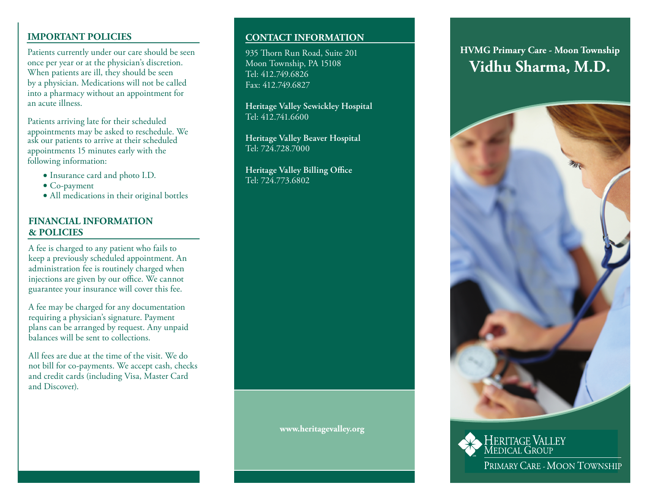# **IMPORTANT POLICIES**

Patients currently under our care should be seen once per year or at the physician's discretion. When patients are ill, they should be seen by a physician. Medications will not be called into a pharmacy without an appointment for an acute illness.

Patients arriving late for their scheduled appointments may be asked to reschedule. We ask our patients to arrive at their scheduled appointments 15 minutes early with the following information:

- Insurance card and photo I.D.
- Co-payment
- All medications in their original bottles

# **FINANCIAL INFORMATION & POLICIES**

A fee is charged to any patient who fails to keep a previously scheduled appointment. An administration fee is routinely charged when injections are given by our office. We cannot guarantee your insurance will cover this fee.

A fee may be charged for any documentation requiring a physician's signature. Payment plans can be arranged by request. Any unpaid balances will be sent to collections.

All fees are due at the time of the visit. We do not bill for co-payments. We accept cash, checks and credit cards (including Visa, Master Card and Discover).

# **CONTACT INFORMATION**

935 Thorn Run Road, Suite 201 Moon Township, PA 15108 Tel: 412.749.6826 Fax: 412.749.6827

**Heritage Valley Sewickley Hospital** Tel: 412.741.6600

**Heritage Valley Beaver Hospital** Tel: 724.728.7000

**Heritage Valley Billing Office** Tel: 724.773.6802

## **www.heritagevalley.org**

# **Vidhu Sharma, M.D. HVMG Primary Care - Moon Township**